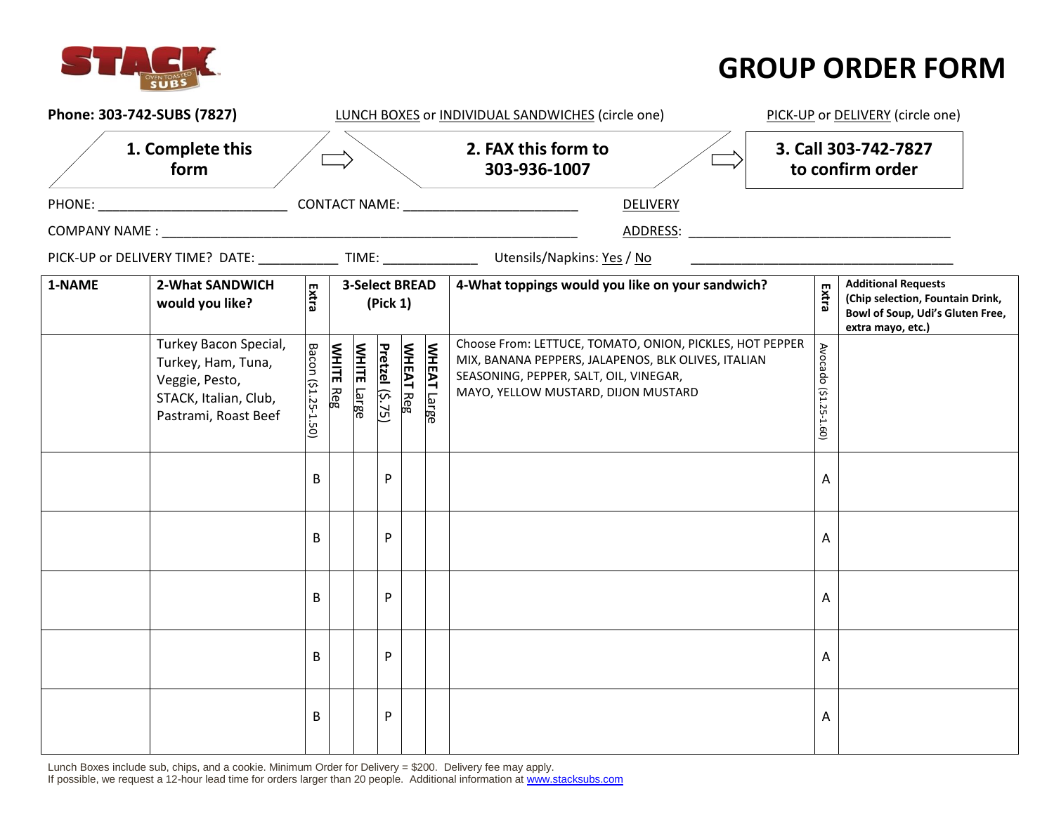

## **GROUP ORDER FORM**

| Phone: 303-742-SUBS (7827) |                                                                                                                |                     |                  |                       |                 |                  | LUNCH BOXES or INDIVIDUAL SANDWICHES (circle one) | PICK-UP or DELIVERY (circle one)                                                                                                                                                                 |                       |                                                                                                                         |
|----------------------------|----------------------------------------------------------------------------------------------------------------|---------------------|------------------|-----------------------|-----------------|------------------|---------------------------------------------------|--------------------------------------------------------------------------------------------------------------------------------------------------------------------------------------------------|-----------------------|-------------------------------------------------------------------------------------------------------------------------|
|                            | 1. Complete this<br>form                                                                                       |                     |                  |                       |                 |                  |                                                   | 2. FAX this form to<br>303-936-1007                                                                                                                                                              |                       | 3. Call 303-742-7827<br>to confirm order                                                                                |
|                            |                                                                                                                |                     |                  |                       |                 |                  |                                                   | <b>DELIVERY</b>                                                                                                                                                                                  |                       |                                                                                                                         |
|                            |                                                                                                                |                     |                  |                       |                 |                  |                                                   |                                                                                                                                                                                                  |                       |                                                                                                                         |
|                            |                                                                                                                |                     |                  |                       |                 |                  |                                                   | PICK-UP or DELIVERY TIME? DATE: TIME: Utensils/Napkins: Yes / No                                                                                                                                 |                       |                                                                                                                         |
| 1-NAME                     | 2-What SANDWICH<br>would you like?                                                                             | Extra               |                  | <b>3-Select BREAD</b> | (Pick 1)        |                  |                                                   | 4-What toppings would you like on your sandwich?                                                                                                                                                 | Extra                 | <b>Additional Requests</b><br>(Chip selection, Fountain Drink,<br>Bowl of Soup, Udi's Gluten Free,<br>extra mayo, etc.) |
|                            | Turkey Bacon Special,<br>Turkey, Ham, Tuna,<br>Veggie, Pesto,<br>STACK, Italian, Club,<br>Pastrami, Roast Beef | Bacon (\$1.25-1.50) | <b>WHITE Reg</b> | <b>WHITE</b> Large    | Pretzel (\$.75) | <b>WHEAT Reg</b> | <b>WHEAT</b><br><u>Large</u>                      | Choose From: LETTUCE, TOMATO, ONION, PICKLES, HOT PEPPER<br>MIX, BANANA PEPPERS, JALAPENOS, BLK OLIVES, ITALIAN<br>SEASONING, PEPPER, SALT, OIL, VINEGAR,<br>MAYO, YELLOW MUSTARD, DIJON MUSTARD | Avocado (\$1.25-1.60) |                                                                                                                         |
|                            |                                                                                                                | B                   |                  |                       | P               |                  |                                                   |                                                                                                                                                                                                  | A                     |                                                                                                                         |
|                            |                                                                                                                | В                   |                  |                       | P               |                  |                                                   |                                                                                                                                                                                                  | A                     |                                                                                                                         |
|                            |                                                                                                                | B                   |                  |                       | P               |                  |                                                   |                                                                                                                                                                                                  | A                     |                                                                                                                         |
|                            |                                                                                                                | В                   |                  |                       | P               |                  |                                                   |                                                                                                                                                                                                  | Α                     |                                                                                                                         |
|                            |                                                                                                                | B                   |                  |                       | P               |                  |                                                   |                                                                                                                                                                                                  | A                     |                                                                                                                         |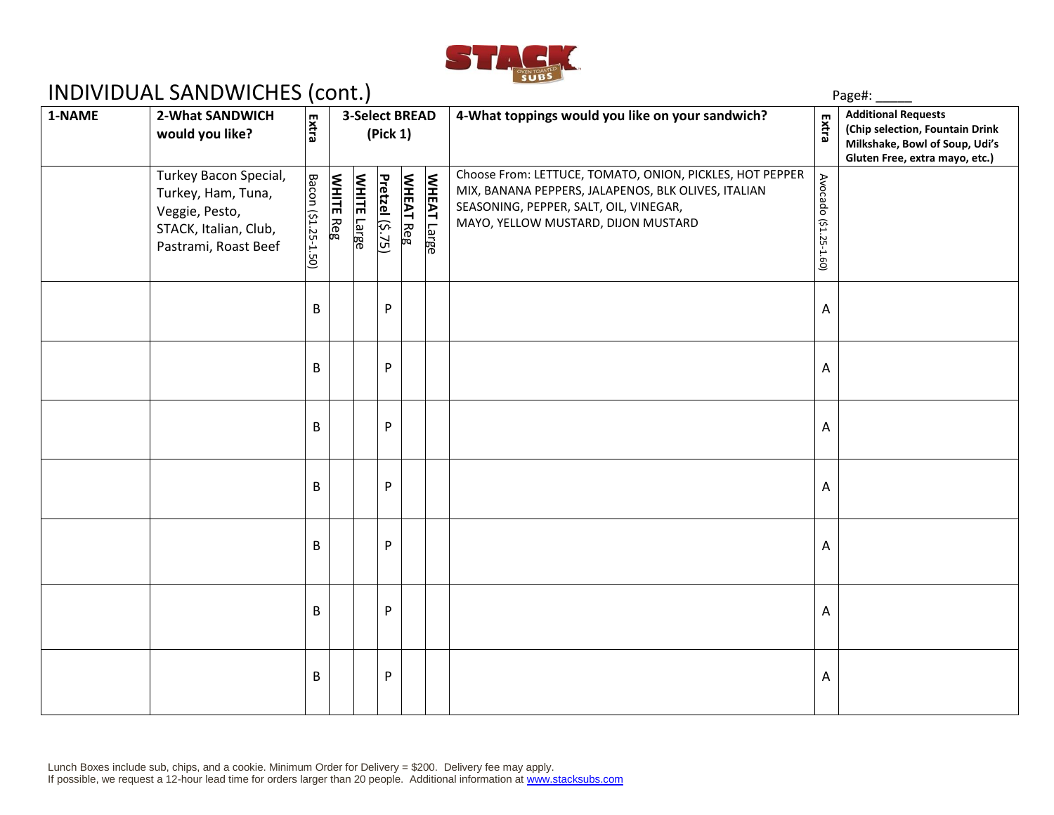

## INDIVIDUAL SANDWICHES (cont.)

|        | $5.772$ $1.757$ $1.757$ $1.557$ $1.607$ $1.607$                                                                |                                            |                  |                    |                 |                  |                    |                                                                                                                                                                                                  | . usc                 |                                                                                                                                   |  |
|--------|----------------------------------------------------------------------------------------------------------------|--------------------------------------------|------------------|--------------------|-----------------|------------------|--------------------|--------------------------------------------------------------------------------------------------------------------------------------------------------------------------------------------------|-----------------------|-----------------------------------------------------------------------------------------------------------------------------------|--|
| 1-NAME | 2-What SANDWICH<br>would you like?                                                                             | <b>3-Select BREAD</b><br>Extra<br>(Pick 1) |                  |                    |                 |                  |                    | 4-What toppings would you like on your sandwich?                                                                                                                                                 | Extra                 | <b>Additional Requests</b><br>(Chip selection, Fountain Drink<br>Milkshake, Bowl of Soup, Udi's<br>Gluten Free, extra mayo, etc.) |  |
|        | Turkey Bacon Special,<br>Turkey, Ham, Tuna,<br>Veggie, Pesto,<br>STACK, Italian, Club,<br>Pastrami, Roast Beef | Bacon (\$1.25-1.50)                        | <b>WHITE Reg</b> | <b>WHITE</b> Large | Pretzel (\$.75) | <b>WHEAT Reg</b> | <b>WHEAT Large</b> | Choose From: LETTUCE, TOMATO, ONION, PICKLES, HOT PEPPER<br>MIX, BANANA PEPPERS, JALAPENOS, BLK OLIVES, ITALIAN<br>SEASONING, PEPPER, SALT, OIL, VINEGAR,<br>MAYO, YELLOW MUSTARD, DIJON MUSTARD | Avocado (\$1.25-1.60) |                                                                                                                                   |  |
|        |                                                                                                                | B                                          |                  |                    | P               |                  |                    |                                                                                                                                                                                                  | A                     |                                                                                                                                   |  |
|        |                                                                                                                | B                                          |                  |                    | P               |                  |                    |                                                                                                                                                                                                  | A                     |                                                                                                                                   |  |
|        |                                                                                                                | B                                          |                  |                    | P               |                  |                    |                                                                                                                                                                                                  | A                     |                                                                                                                                   |  |
|        |                                                                                                                | B                                          |                  |                    | P               |                  |                    |                                                                                                                                                                                                  | A                     |                                                                                                                                   |  |
|        |                                                                                                                | B                                          |                  |                    | P               |                  |                    |                                                                                                                                                                                                  | A                     |                                                                                                                                   |  |
|        |                                                                                                                | B                                          |                  |                    | P               |                  |                    |                                                                                                                                                                                                  | A                     |                                                                                                                                   |  |
|        |                                                                                                                | B                                          |                  |                    | P               |                  |                    |                                                                                                                                                                                                  | A                     |                                                                                                                                   |  |